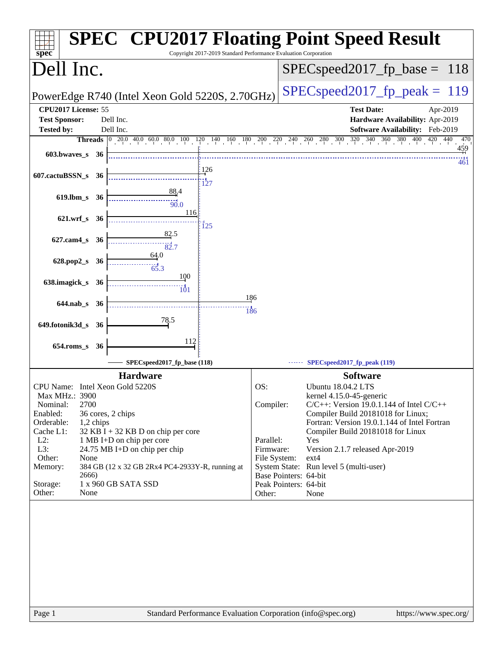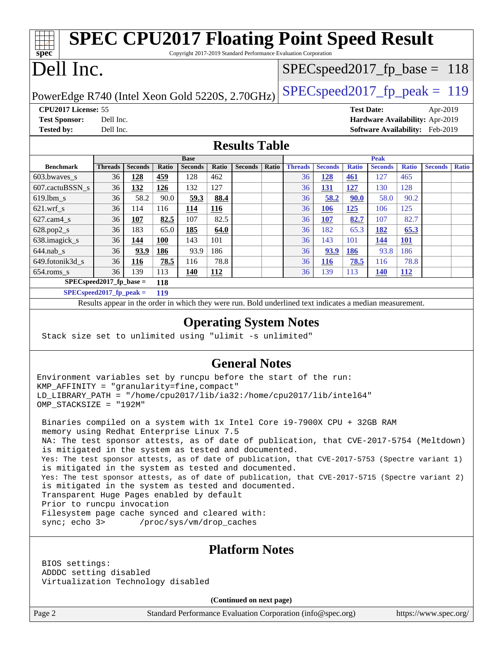| <b>SPEC CPU2017 Floating Point Speed Result</b>                          |                |                |            |                |              |                                  |       |                |                |              |                |              |                |              |
|--------------------------------------------------------------------------|----------------|----------------|------------|----------------|--------------|----------------------------------|-------|----------------|----------------|--------------|----------------|--------------|----------------|--------------|
| Copyright 2017-2019 Standard Performance Evaluation Corporation<br>spec  |                |                |            |                |              |                                  |       |                |                |              |                |              |                |              |
| Dell Inc.                                                                |                |                |            |                |              | $SPEC speed2017_f p\_base = 118$ |       |                |                |              |                |              |                |              |
| PowerEdge R740 (Intel Xeon Gold 5220S, 2.70GHz)                          |                |                |            |                |              | $SPEC speed2017_fp\_peak = 119$  |       |                |                |              |                |              |                |              |
| CPU2017 License: 55<br><b>Test Date:</b><br>Apr-2019                     |                |                |            |                |              |                                  |       |                |                |              |                |              |                |              |
| Hardware Availability: Apr-2019<br><b>Test Sponsor:</b><br>Dell Inc.     |                |                |            |                |              |                                  |       |                |                |              |                |              |                |              |
| <b>Tested by:</b><br>Dell Inc.<br><b>Software Availability:</b> Feb-2019 |                |                |            |                |              |                                  |       |                |                |              |                |              |                |              |
| <b>Results Table</b>                                                     |                |                |            |                |              |                                  |       |                |                |              |                |              |                |              |
|                                                                          |                |                |            | <b>Base</b>    |              |                                  |       |                |                |              | <b>Peak</b>    |              |                |              |
| <b>Benchmark</b>                                                         | <b>Threads</b> | <b>Seconds</b> | Ratio      | <b>Seconds</b> | <b>Ratio</b> | <b>Seconds</b>                   | Ratio | <b>Threads</b> | <b>Seconds</b> | <b>Ratio</b> | <b>Seconds</b> | <b>Ratio</b> | <b>Seconds</b> | <b>Ratio</b> |
| 603.bwaves_s                                                             | 36             | 128            | 459        | 128            | 462          |                                  |       | 36             | <u>128</u>     | 461          | 127            | 465          |                |              |
| 607.cactuBSSN s                                                          | 36             | 132            | 126        | 132            | 127          |                                  |       | 36             | 131            | 127          | 130            | 128          |                |              |
| $619.$ lbm s                                                             | 36             | 58.2           | 90.0       | 59.3           | 88.4         |                                  |       | 36             | 58.2           | 90.0         | 58.0           | 90.2         |                |              |
| $621$ .wrf s                                                             | 36             | 114            | 116        | 114            | 116          |                                  |       | 36             | 106            | 125          | 106            | 125          |                |              |
| $627$ .cam $4 \text{ s}$                                                 | 36             | 107            | 82.5       | 107            | 82.5         |                                  |       | 36             | 107            | 82.7         | 107            | 82.7         |                |              |
| $628.pop2_s$                                                             | 36             | 183            | 65.0       | 185            | 64.0         |                                  |       | 36             | 182            | 65.3         | 182            | 65.3         |                |              |
| 638.imagick_s                                                            | 36             | 144            | <b>100</b> | 143            | 101          |                                  |       | 36             | 143            | 101          | 144            | 101          |                |              |
| $644.nab_s$                                                              | 36             | 93.9           | 186        | 93.9           | 186          |                                  |       | 36             | 93.9           | 186          | 93.8           | 186          |                |              |
| 649.fotonik3d_s                                                          | 36             | 116            | 78.5       | 116            | 78.8         |                                  |       | 36             | <b>116</b>     | 78.5         | 116            | 78.8         |                |              |
| 654.roms s                                                               | 36             | 139            | 113        | 140            | 112          |                                  |       | 36             | 139            | 113          | <b>140</b>     | <b>112</b>   |                |              |
| $SPECspeed2017$ fp base =<br>118                                         |                |                |            |                |              |                                  |       |                |                |              |                |              |                |              |

**[SPECspeed2017\\_fp\\_peak =](http://www.spec.org/auto/cpu2017/Docs/result-fields.html#SPECspeed2017fppeak) 119**

Results appear in the [order in which they were run.](http://www.spec.org/auto/cpu2017/Docs/result-fields.html#RunOrder) Bold underlined text [indicates a median measurement.](http://www.spec.org/auto/cpu2017/Docs/result-fields.html#Median)

#### **[Operating System Notes](http://www.spec.org/auto/cpu2017/Docs/result-fields.html#OperatingSystemNotes)**

Stack size set to unlimited using "ulimit -s unlimited"

#### **[General Notes](http://www.spec.org/auto/cpu2017/Docs/result-fields.html#GeneralNotes)**

Environment variables set by runcpu before the start of the run: KMP\_AFFINITY = "granularity=fine,compact" LD\_LIBRARY\_PATH = "/home/cpu2017/lib/ia32:/home/cpu2017/lib/intel64" OMP\_STACKSIZE = "192M"

 Binaries compiled on a system with 1x Intel Core i9-7900X CPU + 32GB RAM memory using Redhat Enterprise Linux 7.5 NA: The test sponsor attests, as of date of publication, that CVE-2017-5754 (Meltdown) is mitigated in the system as tested and documented. Yes: The test sponsor attests, as of date of publication, that CVE-2017-5753 (Spectre variant 1) is mitigated in the system as tested and documented. Yes: The test sponsor attests, as of date of publication, that CVE-2017-5715 (Spectre variant 2) is mitigated in the system as tested and documented. Transparent Huge Pages enabled by default Prior to runcpu invocation Filesystem page cache synced and cleared with: sync; echo 3> /proc/sys/vm/drop\_caches

#### **[Platform Notes](http://www.spec.org/auto/cpu2017/Docs/result-fields.html#PlatformNotes)**

 BIOS settings: ADDDC setting disabled Virtualization Technology disabled

**(Continued on next page)**

Page 2 Standard Performance Evaluation Corporation [\(info@spec.org\)](mailto:info@spec.org) <https://www.spec.org/>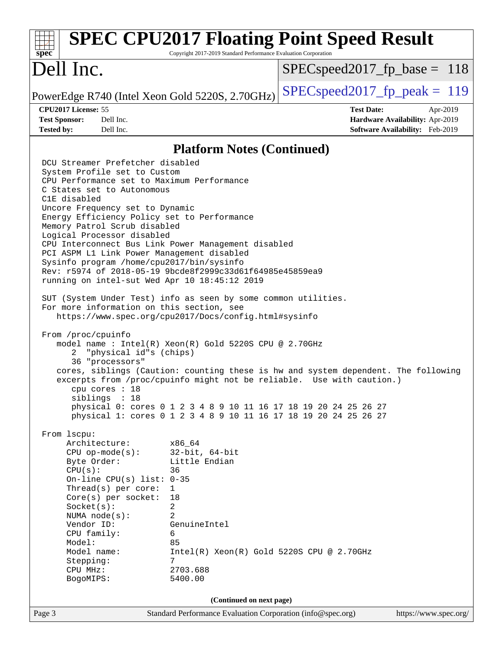| $spec^*$                                                                                                                                                                                                                                                                                                                                                                                                                                                                                                                                                                                                                                                                                                                                                                                               | Copyright 2017-2019 Standard Performance Evaluation Corporation                                                                                                                                                                                             | <b>SPEC CPU2017 Floating Point Speed Result</b>                                                                                                             |
|--------------------------------------------------------------------------------------------------------------------------------------------------------------------------------------------------------------------------------------------------------------------------------------------------------------------------------------------------------------------------------------------------------------------------------------------------------------------------------------------------------------------------------------------------------------------------------------------------------------------------------------------------------------------------------------------------------------------------------------------------------------------------------------------------------|-------------------------------------------------------------------------------------------------------------------------------------------------------------------------------------------------------------------------------------------------------------|-------------------------------------------------------------------------------------------------------------------------------------------------------------|
| Dell Inc.                                                                                                                                                                                                                                                                                                                                                                                                                                                                                                                                                                                                                                                                                                                                                                                              |                                                                                                                                                                                                                                                             | $SPEC speed2017_fp\_base = 118$                                                                                                                             |
| PowerEdge R740 (Intel Xeon Gold 5220S, 2.70GHz)                                                                                                                                                                                                                                                                                                                                                                                                                                                                                                                                                                                                                                                                                                                                                        |                                                                                                                                                                                                                                                             | $SPEC speed2017_fp\_peak = 119$                                                                                                                             |
| CPU2017 License: 55<br><b>Test Sponsor:</b><br>Dell Inc.<br><b>Tested by:</b><br>Dell Inc.                                                                                                                                                                                                                                                                                                                                                                                                                                                                                                                                                                                                                                                                                                             |                                                                                                                                                                                                                                                             | <b>Test Date:</b><br>Apr-2019<br>Hardware Availability: Apr-2019<br><b>Software Availability:</b> Feb-2019                                                  |
|                                                                                                                                                                                                                                                                                                                                                                                                                                                                                                                                                                                                                                                                                                                                                                                                        | <b>Platform Notes (Continued)</b>                                                                                                                                                                                                                           |                                                                                                                                                             |
| DCU Streamer Prefetcher disabled<br>System Profile set to Custom<br>CPU Performance set to Maximum Performance<br>C States set to Autonomous<br>C1E disabled<br>Uncore Frequency set to Dynamic<br>Energy Efficiency Policy set to Performance<br>Memory Patrol Scrub disabled<br>Logical Processor disabled<br>CPU Interconnect Bus Link Power Management disabled<br>PCI ASPM L1 Link Power Management disabled<br>Sysinfo program /home/cpu2017/bin/sysinfo<br>Rev: r5974 of 2018-05-19 9bcde8f2999c33d61f64985e45859ea9<br>running on intel-sut Wed Apr 10 18:45:12 2019<br>SUT (System Under Test) info as seen by some common utilities.<br>For more information on this section, see<br>From /proc/cpuinfo<br>"physical id"s (chips)<br>2<br>36 "processors"<br>cpu cores $: 18$<br>sibling: 18 | https://www.spec.org/cpu2017/Docs/config.html#sysinfo<br>model name: $Intel(R)$ Xeon $(R)$ Gold 5220S CPU @ 2.70GHz<br>physical 0: cores 0 1 2 3 4 8 9 10 11 16 17 18 19 20 24 25 26 27<br>physical 1: cores 0 1 2 3 4 8 9 10 11 16 17 18 19 20 24 25 26 27 | cores, siblings (Caution: counting these is hw and system dependent. The following<br>excerpts from /proc/cpuinfo might not be reliable. Use with caution.) |
| From 1scpu:<br>Architecture:<br>$CPU$ op-mode( $s$ ):<br>Byte Order:<br>CPU(s):<br>On-line CPU(s) list: $0-35$<br>Thread( $s$ ) per core:<br>$Core(s)$ per socket:<br>Socket(s):<br>NUMA $node(s):$<br>Vendor ID:<br>CPU family:<br>Model:<br>Model name:<br>Stepping:<br>CPU MHz:<br>BogoMIPS:                                                                                                                                                                                                                                                                                                                                                                                                                                                                                                        | x86_64<br>$32$ -bit, $64$ -bit<br>Little Endian<br>36<br>1<br>18<br>2<br>$\overline{2}$<br>GenuineIntel<br>6<br>85<br>$Intel(R) Xeon(R) Gold 5220S CPU @ 2.70GHz$<br>7<br>2703.688<br>5400.00                                                               |                                                                                                                                                             |
| Page 3                                                                                                                                                                                                                                                                                                                                                                                                                                                                                                                                                                                                                                                                                                                                                                                                 | (Continued on next page)<br>Standard Performance Evaluation Corporation (info@spec.org)                                                                                                                                                                     | https://www.spec.org/                                                                                                                                       |
|                                                                                                                                                                                                                                                                                                                                                                                                                                                                                                                                                                                                                                                                                                                                                                                                        |                                                                                                                                                                                                                                                             |                                                                                                                                                             |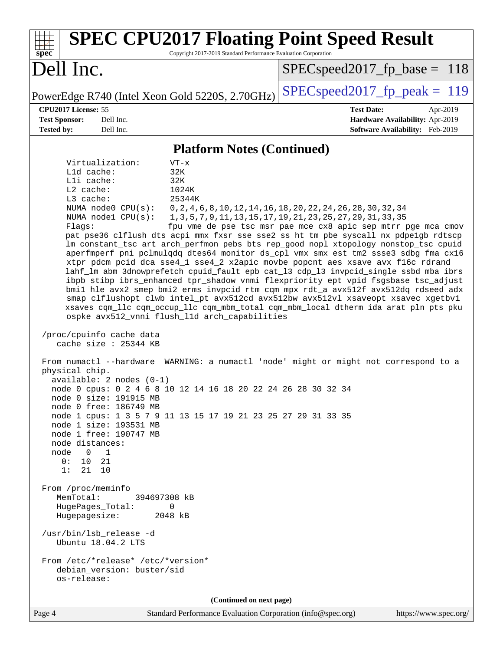| <b>SPEC CPU2017 Floating Point Speed Result</b><br>Copyright 2017-2019 Standard Performance Evaluation Corporation<br>$spec^*$                                                                                                                                                                                                                                                                                                                                                                                                                                                                                                                                                                                                                                                                                                                                                                                                                                                                                                                                                                                                                                                                                                                                                                                                                                                                                                                                                                                                                                                                                                                                                                                                                                                                  |                                                                                                                                                                                                         |
|-------------------------------------------------------------------------------------------------------------------------------------------------------------------------------------------------------------------------------------------------------------------------------------------------------------------------------------------------------------------------------------------------------------------------------------------------------------------------------------------------------------------------------------------------------------------------------------------------------------------------------------------------------------------------------------------------------------------------------------------------------------------------------------------------------------------------------------------------------------------------------------------------------------------------------------------------------------------------------------------------------------------------------------------------------------------------------------------------------------------------------------------------------------------------------------------------------------------------------------------------------------------------------------------------------------------------------------------------------------------------------------------------------------------------------------------------------------------------------------------------------------------------------------------------------------------------------------------------------------------------------------------------------------------------------------------------------------------------------------------------------------------------------------------------|---------------------------------------------------------------------------------------------------------------------------------------------------------------------------------------------------------|
| Dell Inc.                                                                                                                                                                                                                                                                                                                                                                                                                                                                                                                                                                                                                                                                                                                                                                                                                                                                                                                                                                                                                                                                                                                                                                                                                                                                                                                                                                                                                                                                                                                                                                                                                                                                                                                                                                                       | $SPEC speed2017_f p\_base = 118$                                                                                                                                                                        |
| PowerEdge R740 (Intel Xeon Gold 5220S, 2.70GHz)                                                                                                                                                                                                                                                                                                                                                                                                                                                                                                                                                                                                                                                                                                                                                                                                                                                                                                                                                                                                                                                                                                                                                                                                                                                                                                                                                                                                                                                                                                                                                                                                                                                                                                                                                 | $SPEC speed2017_fp\_peak = 119$                                                                                                                                                                         |
| CPU2017 License: 55<br><b>Test Sponsor:</b><br>Dell Inc.<br>Dell Inc.<br><b>Tested by:</b>                                                                                                                                                                                                                                                                                                                                                                                                                                                                                                                                                                                                                                                                                                                                                                                                                                                                                                                                                                                                                                                                                                                                                                                                                                                                                                                                                                                                                                                                                                                                                                                                                                                                                                      | <b>Test Date:</b><br>Apr-2019<br>Hardware Availability: Apr-2019<br>Software Availability: Feb-2019                                                                                                     |
| <b>Platform Notes (Continued)</b>                                                                                                                                                                                                                                                                                                                                                                                                                                                                                                                                                                                                                                                                                                                                                                                                                                                                                                                                                                                                                                                                                                                                                                                                                                                                                                                                                                                                                                                                                                                                                                                                                                                                                                                                                               |                                                                                                                                                                                                         |
| Virtualization:<br>$VT - x$<br>L1d cache:<br>32K<br>Lli cache:<br>32K<br>1024K<br>$L2$ cache:<br>L3 cache:<br>25344K<br>NUMA node0 CPU(s):<br>NUMA $node1$ $CPU(s):$<br>Flags:<br>pat pse36 clflush dts acpi mmx fxsr sse sse2 ss ht tm pbe syscall nx pdpelgb rdtscp<br>lm constant_tsc art arch_perfmon pebs bts rep_good nopl xtopology nonstop_tsc cpuid<br>aperfmperf pni pclmulqdq dtes64 monitor ds_cpl vmx smx est tm2 ssse3 sdbg fma cx16<br>xtpr pdcm pcid dca sse4_1 sse4_2 x2apic movbe popcnt aes xsave avx f16c rdrand<br>lahf_lm abm 3dnowprefetch cpuid_fault epb cat_13 cdp_13 invpcid_single ssbd mba ibrs<br>ibpb stibp ibrs_enhanced tpr_shadow vnmi flexpriority ept vpid fsgsbase tsc_adjust<br>bmil hle avx2 smep bmi2 erms invpcid rtm cqm mpx rdt_a avx512f avx512dq rdseed adx<br>smap clflushopt clwb intel_pt avx512cd avx512bw avx512vl xsaveopt xsavec xgetbvl<br>xsaves cqm_llc cqm_occup_llc cqm_mbm_total cqm_mbm_local dtherm ida arat pln pts pku<br>ospke avx512_vnni flush_l1d arch_capabilities<br>/proc/cpuinfo cache data<br>cache size : 25344 KB<br>From numactl --hardware WARNING: a numactl 'node' might or might not correspond to a<br>physical chip.<br>$available: 2 nodes (0-1)$<br>node 0 cpus: 0 2 4 6 8 10 12 14 16 18 20 22 24 26 28 30 32 34<br>node 0 size: 191915 MB<br>node 0 free: 186749 MB<br>node 1 cpus: 1 3 5 7 9 11 13 15 17 19 21 23 25 27 29 31 33 35<br>node 1 size: 193531 MB<br>node 1 free: 190747 MB<br>node distances:<br>node<br>$0\qquad1$<br>0:<br>10 21<br>1:<br>21 10<br>From /proc/meminfo<br>MemTotal:<br>394697308 kB<br>HugePages_Total:<br>0<br>Hugepagesize:<br>2048 kB<br>/usr/bin/lsb_release -d<br>Ubuntu 18.04.2 LTS<br>From /etc/*release* /etc/*version*<br>debian_version: buster/sid<br>os-release: | 0, 2, 4, 6, 8, 10, 12, 14, 16, 18, 20, 22, 24, 26, 28, 30, 32, 34<br>1, 3, 5, 7, 9, 11, 13, 15, 17, 19, 21, 23, 25, 27, 29, 31, 33, 35<br>fpu vme de pse tsc msr pae mce cx8 apic sep mtrr pge mca cmov |
| (Continued on next page)                                                                                                                                                                                                                                                                                                                                                                                                                                                                                                                                                                                                                                                                                                                                                                                                                                                                                                                                                                                                                                                                                                                                                                                                                                                                                                                                                                                                                                                                                                                                                                                                                                                                                                                                                                        |                                                                                                                                                                                                         |
| Standard Performance Evaluation Corporation (info@spec.org)<br>Page 4                                                                                                                                                                                                                                                                                                                                                                                                                                                                                                                                                                                                                                                                                                                                                                                                                                                                                                                                                                                                                                                                                                                                                                                                                                                                                                                                                                                                                                                                                                                                                                                                                                                                                                                           | https://www.spec.org/                                                                                                                                                                                   |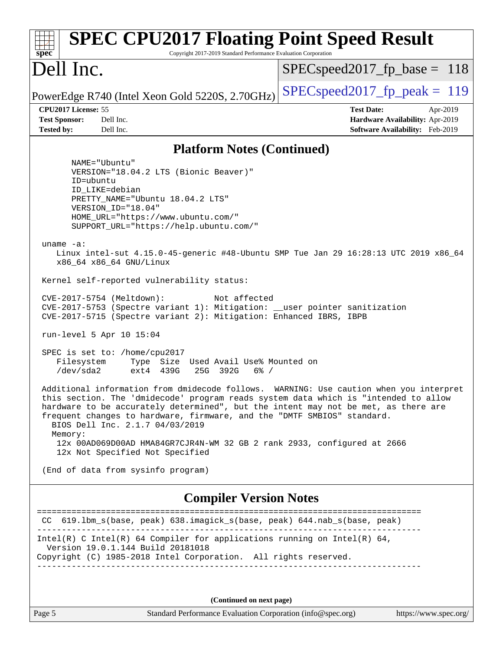| <b>SPEC CPU2017 Floating Point Speed Result</b><br>Copyright 2017-2019 Standard Performance Evaluation Corporation<br>$spec^*$                                                                                                                                                                                                                                                                                                                                          |                                                                                                     |
|-------------------------------------------------------------------------------------------------------------------------------------------------------------------------------------------------------------------------------------------------------------------------------------------------------------------------------------------------------------------------------------------------------------------------------------------------------------------------|-----------------------------------------------------------------------------------------------------|
| Dell Inc.                                                                                                                                                                                                                                                                                                                                                                                                                                                               | $SPEC speed2017_fp\_base = 118$                                                                     |
| PowerEdge R740 (Intel Xeon Gold 5220S, 2.70GHz)                                                                                                                                                                                                                                                                                                                                                                                                                         | $SPEC speed2017_fp\_peak = 119$                                                                     |
| CPU2017 License: 55<br><b>Test Sponsor:</b><br>Dell Inc.<br>Dell Inc.<br><b>Tested by:</b>                                                                                                                                                                                                                                                                                                                                                                              | <b>Test Date:</b><br>Apr-2019<br>Hardware Availability: Apr-2019<br>Software Availability: Feb-2019 |
| <b>Platform Notes (Continued)</b>                                                                                                                                                                                                                                                                                                                                                                                                                                       |                                                                                                     |
| NAME="Ubuntu"                                                                                                                                                                                                                                                                                                                                                                                                                                                           |                                                                                                     |
| VERSION="18.04.2 LTS (Bionic Beaver)"<br>ID=ubuntu<br>ID LIKE=debian<br>PRETTY_NAME="Ubuntu 18.04.2 LTS"<br>VERSION ID="18.04"<br>HOME_URL="https://www.ubuntu.com/"<br>SUPPORT_URL="https://help.ubuntu.com/"                                                                                                                                                                                                                                                          |                                                                                                     |
| uname $-a$ :<br>Linux intel-sut 4.15.0-45-generic #48-Ubuntu SMP Tue Jan 29 16:28:13 UTC 2019 x86_64<br>x86_64 x86_64 GNU/Linux                                                                                                                                                                                                                                                                                                                                         |                                                                                                     |
| Kernel self-reported vulnerability status:                                                                                                                                                                                                                                                                                                                                                                                                                              |                                                                                                     |
| CVE-2017-5754 (Meltdown):<br>Not affected<br>CVE-2017-5753 (Spectre variant 1): Mitigation: __user pointer sanitization<br>CVE-2017-5715 (Spectre variant 2): Mitigation: Enhanced IBRS, IBPB                                                                                                                                                                                                                                                                           |                                                                                                     |
| run-level 5 Apr 10 15:04                                                                                                                                                                                                                                                                                                                                                                                                                                                |                                                                                                     |
| SPEC is set to: /home/cpu2017<br>Filesystem<br>Type Size Used Avail Use% Mounted on<br>/dev/sda2<br>ext4 439G<br>25G 392G<br>$6\%$ /                                                                                                                                                                                                                                                                                                                                    |                                                                                                     |
| Additional information from dmidecode follows. WARNING: Use caution when you interpret<br>this section. The 'dmidecode' program reads system data which is "intended to allow<br>hardware to be accurately determined", but the intent may not be met, as there are<br>frequent changes to hardware, firmware, and the "DMTF SMBIOS" standard.<br>BIOS Dell Inc. 2.1.7 04/03/2019<br>Memory:<br>12x 00AD069D00AD HMA84GR7CJR4N-WM 32 GB 2 rank 2933, configured at 2666 |                                                                                                     |
| 12x Not Specified Not Specified                                                                                                                                                                                                                                                                                                                                                                                                                                         |                                                                                                     |
| (End of data from sysinfo program)                                                                                                                                                                                                                                                                                                                                                                                                                                      |                                                                                                     |
| <b>Compiler Version Notes</b>                                                                                                                                                                                                                                                                                                                                                                                                                                           |                                                                                                     |
| CC 619.1bm_s(base, peak) 638.imagick_s(base, peak) 644.nab_s(base, peak)                                                                                                                                                                                                                                                                                                                                                                                                | =======================                                                                             |
| Intel(R) C Intel(R) 64 Compiler for applications running on Intel(R) 64,<br>Version 19.0.1.144 Build 20181018<br>Copyright (C) 1985-2018 Intel Corporation. All rights reserved.                                                                                                                                                                                                                                                                                        |                                                                                                     |
| (Continued on next page)                                                                                                                                                                                                                                                                                                                                                                                                                                                |                                                                                                     |
| Page 5<br>Standard Performance Evaluation Corporation (info@spec.org)                                                                                                                                                                                                                                                                                                                                                                                                   | https://www.spec.org/                                                                               |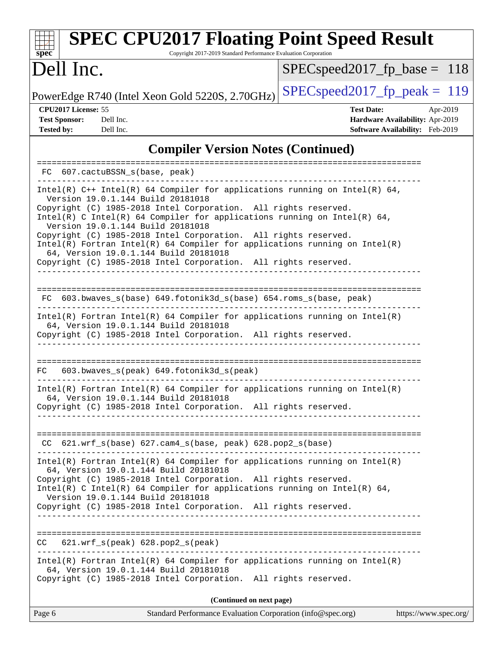| <b>SPEC CPU2017 Floating Point Speed Result</b><br>Copyright 2017-2019 Standard Performance Evaluation Corporation<br>$spec^*$                                                                                                                                                                                                                                                                                                                                                                                                                                     |                                                                                                     |
|--------------------------------------------------------------------------------------------------------------------------------------------------------------------------------------------------------------------------------------------------------------------------------------------------------------------------------------------------------------------------------------------------------------------------------------------------------------------------------------------------------------------------------------------------------------------|-----------------------------------------------------------------------------------------------------|
| Dell Inc.                                                                                                                                                                                                                                                                                                                                                                                                                                                                                                                                                          | $SPEC speed2017_fp\_base = 118$                                                                     |
| PowerEdge R740 (Intel Xeon Gold 5220S, 2.70GHz)                                                                                                                                                                                                                                                                                                                                                                                                                                                                                                                    | $SPEC speed2017_fp\_peak = 119$                                                                     |
| CPU2017 License: 55<br><b>Test Sponsor:</b><br>Dell Inc.<br><b>Tested by:</b><br>Dell Inc.                                                                                                                                                                                                                                                                                                                                                                                                                                                                         | <b>Test Date:</b><br>Apr-2019<br>Hardware Availability: Apr-2019<br>Software Availability: Feb-2019 |
| <b>Compiler Version Notes (Continued)</b>                                                                                                                                                                                                                                                                                                                                                                                                                                                                                                                          |                                                                                                     |
| 607.cactuBSSN_s(base, peak)<br>FC.                                                                                                                                                                                                                                                                                                                                                                                                                                                                                                                                 |                                                                                                     |
| Intel(R) C++ Intel(R) 64 Compiler for applications running on Intel(R) 64,<br>Version 19.0.1.144 Build 20181018<br>Copyright (C) 1985-2018 Intel Corporation. All rights reserved.<br>Intel(R) C Intel(R) 64 Compiler for applications running on Intel(R) 64,<br>Version 19.0.1.144 Build 20181018<br>Copyright (C) 1985-2018 Intel Corporation. All rights reserved.<br>$Intel(R)$ Fortran Intel(R) 64 Compiler for applications running on Intel(R)<br>64, Version 19.0.1.144 Build 20181018<br>Copyright (C) 1985-2018 Intel Corporation. All rights reserved. |                                                                                                     |
| FC 603.bwaves_s(base) 649.fotonik3d_s(base) 654.roms_s(base, peak)<br>Intel(R) Fortran Intel(R) 64 Compiler for applications running on Intel(R)<br>64, Version 19.0.1.144 Build 20181018<br>Copyright (C) 1985-2018 Intel Corporation. All rights reserved.                                                                                                                                                                                                                                                                                                       |                                                                                                     |
| 603.bwaves_s(peak) 649.fotonik3d_s(peak)<br>FC.<br>$Intel(R)$ Fortran Intel(R) 64 Compiler for applications running on Intel(R)<br>64, Version 19.0.1.144 Build 20181018<br>Copyright (C) 1985-2018 Intel Corporation. All rights reserved.                                                                                                                                                                                                                                                                                                                        |                                                                                                     |
| $CC$ 621.wrf_s(base) 627.cam4_s(base, peak) 628.pop2_s(base)                                                                                                                                                                                                                                                                                                                                                                                                                                                                                                       |                                                                                                     |
| $Intel(R)$ Fortran Intel(R) 64 Compiler for applications running on Intel(R)<br>64, Version 19.0.1.144 Build 20181018<br>Copyright (C) 1985-2018 Intel Corporation. All rights reserved.<br>Intel(R) C Intel(R) 64 Compiler for applications running on Intel(R) 64,<br>Version 19.0.1.144 Build 20181018<br>Copyright (C) 1985-2018 Intel Corporation. All rights reserved.                                                                                                                                                                                       |                                                                                                     |
| $621.wrf_s(peak)$ $628.pop2_s(peak)$<br>CC.                                                                                                                                                                                                                                                                                                                                                                                                                                                                                                                        |                                                                                                     |
| $Intel(R)$ Fortran Intel(R) 64 Compiler for applications running on Intel(R)<br>64, Version 19.0.1.144 Build 20181018<br>Copyright (C) 1985-2018 Intel Corporation. All rights reserved.                                                                                                                                                                                                                                                                                                                                                                           |                                                                                                     |
| (Continued on next page)                                                                                                                                                                                                                                                                                                                                                                                                                                                                                                                                           |                                                                                                     |

Page 6 Standard Performance Evaluation Corporation [\(info@spec.org\)](mailto:info@spec.org) <https://www.spec.org/>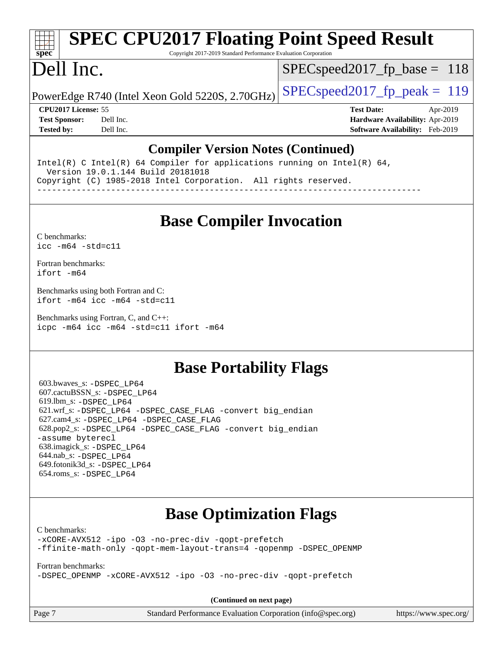# **[SPEC CPU2017 Floating Point Speed Result](http://www.spec.org/auto/cpu2017/Docs/result-fields.html#SPECCPU2017FloatingPointSpeedResult)**

Copyright 2017-2019 Standard Performance Evaluation Corporation

# Dell Inc.

**[spec](http://www.spec.org/)**

SPECspeed2017 fp base =  $118$ 

PowerEdge R740 (Intel Xeon Gold 5220S, 2.70GHz)  $\left|$  [SPECspeed2017\\_fp\\_peak =](http://www.spec.org/auto/cpu2017/Docs/result-fields.html#SPECspeed2017fppeak) 119

**[CPU2017 License:](http://www.spec.org/auto/cpu2017/Docs/result-fields.html#CPU2017License)** 55 **[Test Date:](http://www.spec.org/auto/cpu2017/Docs/result-fields.html#TestDate)** Apr-2019 **[Test Sponsor:](http://www.spec.org/auto/cpu2017/Docs/result-fields.html#TestSponsor)** Dell Inc. **[Hardware Availability:](http://www.spec.org/auto/cpu2017/Docs/result-fields.html#HardwareAvailability)** Apr-2019 **[Tested by:](http://www.spec.org/auto/cpu2017/Docs/result-fields.html#Testedby)** Dell Inc. **[Software Availability:](http://www.spec.org/auto/cpu2017/Docs/result-fields.html#SoftwareAvailability)** Feb-2019

#### **[Compiler Version Notes \(Continued\)](http://www.spec.org/auto/cpu2017/Docs/result-fields.html#CompilerVersionNotes)**

Intel(R) C Intel(R) 64 Compiler for applications running on Intel(R)  $64$ , Version 19.0.1.144 Build 20181018 Copyright (C) 1985-2018 Intel Corporation. All rights reserved. ------------------------------------------------------------------------------

### **[Base Compiler Invocation](http://www.spec.org/auto/cpu2017/Docs/result-fields.html#BaseCompilerInvocation)**

[C benchmarks](http://www.spec.org/auto/cpu2017/Docs/result-fields.html#Cbenchmarks): [icc -m64 -std=c11](http://www.spec.org/cpu2017/results/res2019q3/cpu2017-20190805-16542.flags.html#user_CCbase_intel_icc_64bit_c11_33ee0cdaae7deeeab2a9725423ba97205ce30f63b9926c2519791662299b76a0318f32ddfffdc46587804de3178b4f9328c46fa7c2b0cd779d7a61945c91cd35)

[Fortran benchmarks](http://www.spec.org/auto/cpu2017/Docs/result-fields.html#Fortranbenchmarks): [ifort -m64](http://www.spec.org/cpu2017/results/res2019q3/cpu2017-20190805-16542.flags.html#user_FCbase_intel_ifort_64bit_24f2bb282fbaeffd6157abe4f878425411749daecae9a33200eee2bee2fe76f3b89351d69a8130dd5949958ce389cf37ff59a95e7a40d588e8d3a57e0c3fd751)

[Benchmarks using both Fortran and C](http://www.spec.org/auto/cpu2017/Docs/result-fields.html#BenchmarksusingbothFortranandC): [ifort -m64](http://www.spec.org/cpu2017/results/res2019q3/cpu2017-20190805-16542.flags.html#user_CC_FCbase_intel_ifort_64bit_24f2bb282fbaeffd6157abe4f878425411749daecae9a33200eee2bee2fe76f3b89351d69a8130dd5949958ce389cf37ff59a95e7a40d588e8d3a57e0c3fd751) [icc -m64 -std=c11](http://www.spec.org/cpu2017/results/res2019q3/cpu2017-20190805-16542.flags.html#user_CC_FCbase_intel_icc_64bit_c11_33ee0cdaae7deeeab2a9725423ba97205ce30f63b9926c2519791662299b76a0318f32ddfffdc46587804de3178b4f9328c46fa7c2b0cd779d7a61945c91cd35)

[Benchmarks using Fortran, C, and C++:](http://www.spec.org/auto/cpu2017/Docs/result-fields.html#BenchmarksusingFortranCandCXX) [icpc -m64](http://www.spec.org/cpu2017/results/res2019q3/cpu2017-20190805-16542.flags.html#user_CC_CXX_FCbase_intel_icpc_64bit_4ecb2543ae3f1412ef961e0650ca070fec7b7afdcd6ed48761b84423119d1bf6bdf5cad15b44d48e7256388bc77273b966e5eb805aefd121eb22e9299b2ec9d9) [icc -m64 -std=c11](http://www.spec.org/cpu2017/results/res2019q3/cpu2017-20190805-16542.flags.html#user_CC_CXX_FCbase_intel_icc_64bit_c11_33ee0cdaae7deeeab2a9725423ba97205ce30f63b9926c2519791662299b76a0318f32ddfffdc46587804de3178b4f9328c46fa7c2b0cd779d7a61945c91cd35) [ifort -m64](http://www.spec.org/cpu2017/results/res2019q3/cpu2017-20190805-16542.flags.html#user_CC_CXX_FCbase_intel_ifort_64bit_24f2bb282fbaeffd6157abe4f878425411749daecae9a33200eee2bee2fe76f3b89351d69a8130dd5949958ce389cf37ff59a95e7a40d588e8d3a57e0c3fd751)

### **[Base Portability Flags](http://www.spec.org/auto/cpu2017/Docs/result-fields.html#BasePortabilityFlags)**

 603.bwaves\_s: [-DSPEC\\_LP64](http://www.spec.org/cpu2017/results/res2019q3/cpu2017-20190805-16542.flags.html#suite_basePORTABILITY603_bwaves_s_DSPEC_LP64) 607.cactuBSSN\_s: [-DSPEC\\_LP64](http://www.spec.org/cpu2017/results/res2019q3/cpu2017-20190805-16542.flags.html#suite_basePORTABILITY607_cactuBSSN_s_DSPEC_LP64) 619.lbm\_s: [-DSPEC\\_LP64](http://www.spec.org/cpu2017/results/res2019q3/cpu2017-20190805-16542.flags.html#suite_basePORTABILITY619_lbm_s_DSPEC_LP64) 621.wrf\_s: [-DSPEC\\_LP64](http://www.spec.org/cpu2017/results/res2019q3/cpu2017-20190805-16542.flags.html#suite_basePORTABILITY621_wrf_s_DSPEC_LP64) [-DSPEC\\_CASE\\_FLAG](http://www.spec.org/cpu2017/results/res2019q3/cpu2017-20190805-16542.flags.html#b621.wrf_s_baseCPORTABILITY_DSPEC_CASE_FLAG) [-convert big\\_endian](http://www.spec.org/cpu2017/results/res2019q3/cpu2017-20190805-16542.flags.html#user_baseFPORTABILITY621_wrf_s_convert_big_endian_c3194028bc08c63ac5d04de18c48ce6d347e4e562e8892b8bdbdc0214820426deb8554edfa529a3fb25a586e65a3d812c835984020483e7e73212c4d31a38223) 627.cam4\_s: [-DSPEC\\_LP64](http://www.spec.org/cpu2017/results/res2019q3/cpu2017-20190805-16542.flags.html#suite_basePORTABILITY627_cam4_s_DSPEC_LP64) [-DSPEC\\_CASE\\_FLAG](http://www.spec.org/cpu2017/results/res2019q3/cpu2017-20190805-16542.flags.html#b627.cam4_s_baseCPORTABILITY_DSPEC_CASE_FLAG) 628.pop2\_s: [-DSPEC\\_LP64](http://www.spec.org/cpu2017/results/res2019q3/cpu2017-20190805-16542.flags.html#suite_basePORTABILITY628_pop2_s_DSPEC_LP64) [-DSPEC\\_CASE\\_FLAG](http://www.spec.org/cpu2017/results/res2019q3/cpu2017-20190805-16542.flags.html#b628.pop2_s_baseCPORTABILITY_DSPEC_CASE_FLAG) [-convert big\\_endian](http://www.spec.org/cpu2017/results/res2019q3/cpu2017-20190805-16542.flags.html#user_baseFPORTABILITY628_pop2_s_convert_big_endian_c3194028bc08c63ac5d04de18c48ce6d347e4e562e8892b8bdbdc0214820426deb8554edfa529a3fb25a586e65a3d812c835984020483e7e73212c4d31a38223) [-assume byterecl](http://www.spec.org/cpu2017/results/res2019q3/cpu2017-20190805-16542.flags.html#user_baseFPORTABILITY628_pop2_s_assume_byterecl_7e47d18b9513cf18525430bbf0f2177aa9bf368bc7a059c09b2c06a34b53bd3447c950d3f8d6c70e3faf3a05c8557d66a5798b567902e8849adc142926523472) 638.imagick\_s: [-DSPEC\\_LP64](http://www.spec.org/cpu2017/results/res2019q3/cpu2017-20190805-16542.flags.html#suite_basePORTABILITY638_imagick_s_DSPEC_LP64) 644.nab\_s: [-DSPEC\\_LP64](http://www.spec.org/cpu2017/results/res2019q3/cpu2017-20190805-16542.flags.html#suite_basePORTABILITY644_nab_s_DSPEC_LP64) 649.fotonik3d\_s: [-DSPEC\\_LP64](http://www.spec.org/cpu2017/results/res2019q3/cpu2017-20190805-16542.flags.html#suite_basePORTABILITY649_fotonik3d_s_DSPEC_LP64) 654.roms\_s: [-DSPEC\\_LP64](http://www.spec.org/cpu2017/results/res2019q3/cpu2017-20190805-16542.flags.html#suite_basePORTABILITY654_roms_s_DSPEC_LP64)

## **[Base Optimization Flags](http://www.spec.org/auto/cpu2017/Docs/result-fields.html#BaseOptimizationFlags)**

[C benchmarks](http://www.spec.org/auto/cpu2017/Docs/result-fields.html#Cbenchmarks):

[-xCORE-AVX512](http://www.spec.org/cpu2017/results/res2019q3/cpu2017-20190805-16542.flags.html#user_CCbase_f-xCORE-AVX512) [-ipo](http://www.spec.org/cpu2017/results/res2019q3/cpu2017-20190805-16542.flags.html#user_CCbase_f-ipo) [-O3](http://www.spec.org/cpu2017/results/res2019q3/cpu2017-20190805-16542.flags.html#user_CCbase_f-O3) [-no-prec-div](http://www.spec.org/cpu2017/results/res2019q3/cpu2017-20190805-16542.flags.html#user_CCbase_f-no-prec-div) [-qopt-prefetch](http://www.spec.org/cpu2017/results/res2019q3/cpu2017-20190805-16542.flags.html#user_CCbase_f-qopt-prefetch) [-ffinite-math-only](http://www.spec.org/cpu2017/results/res2019q3/cpu2017-20190805-16542.flags.html#user_CCbase_f_finite_math_only_cb91587bd2077682c4b38af759c288ed7c732db004271a9512da14a4f8007909a5f1427ecbf1a0fb78ff2a814402c6114ac565ca162485bbcae155b5e4258871) [-qopt-mem-layout-trans=4](http://www.spec.org/cpu2017/results/res2019q3/cpu2017-20190805-16542.flags.html#user_CCbase_f-qopt-mem-layout-trans_fa39e755916c150a61361b7846f310bcdf6f04e385ef281cadf3647acec3f0ae266d1a1d22d972a7087a248fd4e6ca390a3634700869573d231a252c784941a8) [-qopenmp](http://www.spec.org/cpu2017/results/res2019q3/cpu2017-20190805-16542.flags.html#user_CCbase_qopenmp_16be0c44f24f464004c6784a7acb94aca937f053568ce72f94b139a11c7c168634a55f6653758ddd83bcf7b8463e8028bb0b48b77bcddc6b78d5d95bb1df2967) [-DSPEC\\_OPENMP](http://www.spec.org/cpu2017/results/res2019q3/cpu2017-20190805-16542.flags.html#suite_CCbase_DSPEC_OPENMP)

[Fortran benchmarks](http://www.spec.org/auto/cpu2017/Docs/result-fields.html#Fortranbenchmarks):

[-DSPEC\\_OPENMP](http://www.spec.org/cpu2017/results/res2019q3/cpu2017-20190805-16542.flags.html#suite_FCbase_DSPEC_OPENMP) [-xCORE-AVX512](http://www.spec.org/cpu2017/results/res2019q3/cpu2017-20190805-16542.flags.html#user_FCbase_f-xCORE-AVX512) [-ipo](http://www.spec.org/cpu2017/results/res2019q3/cpu2017-20190805-16542.flags.html#user_FCbase_f-ipo) [-O3](http://www.spec.org/cpu2017/results/res2019q3/cpu2017-20190805-16542.flags.html#user_FCbase_f-O3) [-no-prec-div](http://www.spec.org/cpu2017/results/res2019q3/cpu2017-20190805-16542.flags.html#user_FCbase_f-no-prec-div) [-qopt-prefetch](http://www.spec.org/cpu2017/results/res2019q3/cpu2017-20190805-16542.flags.html#user_FCbase_f-qopt-prefetch)

**(Continued on next page)**

Page 7 Standard Performance Evaluation Corporation [\(info@spec.org\)](mailto:info@spec.org) <https://www.spec.org/>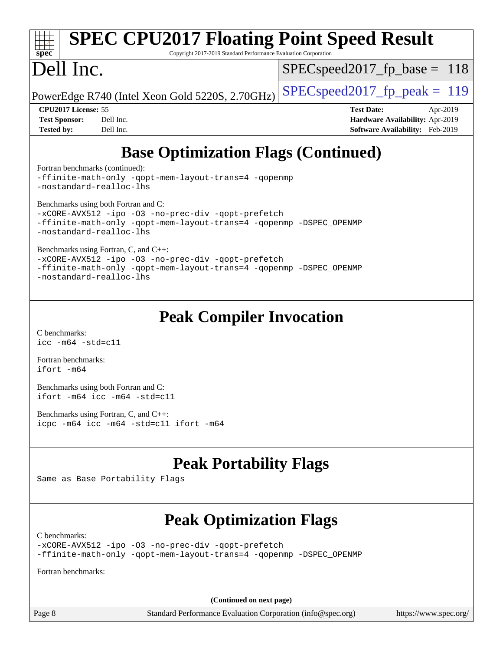# **[SPEC CPU2017 Floating Point Speed Result](http://www.spec.org/auto/cpu2017/Docs/result-fields.html#SPECCPU2017FloatingPointSpeedResult)**

Copyright 2017-2019 Standard Performance Evaluation Corporation

# Dell Inc.

**[spec](http://www.spec.org/)**

SPECspeed2017 fp base =  $118$ 

PowerEdge R740 (Intel Xeon Gold 5220S, 2.70GHz)  $\left|$  [SPECspeed2017\\_fp\\_peak =](http://www.spec.org/auto/cpu2017/Docs/result-fields.html#SPECspeed2017fppeak) 119

**[Tested by:](http://www.spec.org/auto/cpu2017/Docs/result-fields.html#Testedby)** Dell Inc. **[Software Availability:](http://www.spec.org/auto/cpu2017/Docs/result-fields.html#SoftwareAvailability)** Feb-2019

**[CPU2017 License:](http://www.spec.org/auto/cpu2017/Docs/result-fields.html#CPU2017License)** 55 **[Test Date:](http://www.spec.org/auto/cpu2017/Docs/result-fields.html#TestDate)** Apr-2019 **[Test Sponsor:](http://www.spec.org/auto/cpu2017/Docs/result-fields.html#TestSponsor)** Dell Inc. **[Hardware Availability:](http://www.spec.org/auto/cpu2017/Docs/result-fields.html#HardwareAvailability)** Apr-2019

# **[Base Optimization Flags \(Continued\)](http://www.spec.org/auto/cpu2017/Docs/result-fields.html#BaseOptimizationFlags)**

[Fortran benchmarks](http://www.spec.org/auto/cpu2017/Docs/result-fields.html#Fortranbenchmarks) (continued):

[-ffinite-math-only](http://www.spec.org/cpu2017/results/res2019q3/cpu2017-20190805-16542.flags.html#user_FCbase_f_finite_math_only_cb91587bd2077682c4b38af759c288ed7c732db004271a9512da14a4f8007909a5f1427ecbf1a0fb78ff2a814402c6114ac565ca162485bbcae155b5e4258871) [-qopt-mem-layout-trans=4](http://www.spec.org/cpu2017/results/res2019q3/cpu2017-20190805-16542.flags.html#user_FCbase_f-qopt-mem-layout-trans_fa39e755916c150a61361b7846f310bcdf6f04e385ef281cadf3647acec3f0ae266d1a1d22d972a7087a248fd4e6ca390a3634700869573d231a252c784941a8) [-qopenmp](http://www.spec.org/cpu2017/results/res2019q3/cpu2017-20190805-16542.flags.html#user_FCbase_qopenmp_16be0c44f24f464004c6784a7acb94aca937f053568ce72f94b139a11c7c168634a55f6653758ddd83bcf7b8463e8028bb0b48b77bcddc6b78d5d95bb1df2967) [-nostandard-realloc-lhs](http://www.spec.org/cpu2017/results/res2019q3/cpu2017-20190805-16542.flags.html#user_FCbase_f_2003_std_realloc_82b4557e90729c0f113870c07e44d33d6f5a304b4f63d4c15d2d0f1fab99f5daaed73bdb9275d9ae411527f28b936061aa8b9c8f2d63842963b95c9dd6426b8a)

[Benchmarks using both Fortran and C](http://www.spec.org/auto/cpu2017/Docs/result-fields.html#BenchmarksusingbothFortranandC):

```
-xCORE-AVX512-ipo-no-prec-div-qopt-prefetch
-ffinite-math-only -qopt-mem-layout-trans=4 -qopenmp -DSPEC_OPENMP
-nostandard-realloc-lhs
```
[Benchmarks using Fortran, C, and C++:](http://www.spec.org/auto/cpu2017/Docs/result-fields.html#BenchmarksusingFortranCandCXX)

[-xCORE-AVX512](http://www.spec.org/cpu2017/results/res2019q3/cpu2017-20190805-16542.flags.html#user_CC_CXX_FCbase_f-xCORE-AVX512) [-ipo](http://www.spec.org/cpu2017/results/res2019q3/cpu2017-20190805-16542.flags.html#user_CC_CXX_FCbase_f-ipo) [-O3](http://www.spec.org/cpu2017/results/res2019q3/cpu2017-20190805-16542.flags.html#user_CC_CXX_FCbase_f-O3) [-no-prec-div](http://www.spec.org/cpu2017/results/res2019q3/cpu2017-20190805-16542.flags.html#user_CC_CXX_FCbase_f-no-prec-div) [-qopt-prefetch](http://www.spec.org/cpu2017/results/res2019q3/cpu2017-20190805-16542.flags.html#user_CC_CXX_FCbase_f-qopt-prefetch) [-ffinite-math-only](http://www.spec.org/cpu2017/results/res2019q3/cpu2017-20190805-16542.flags.html#user_CC_CXX_FCbase_f_finite_math_only_cb91587bd2077682c4b38af759c288ed7c732db004271a9512da14a4f8007909a5f1427ecbf1a0fb78ff2a814402c6114ac565ca162485bbcae155b5e4258871) [-qopt-mem-layout-trans=4](http://www.spec.org/cpu2017/results/res2019q3/cpu2017-20190805-16542.flags.html#user_CC_CXX_FCbase_f-qopt-mem-layout-trans_fa39e755916c150a61361b7846f310bcdf6f04e385ef281cadf3647acec3f0ae266d1a1d22d972a7087a248fd4e6ca390a3634700869573d231a252c784941a8) [-qopenmp](http://www.spec.org/cpu2017/results/res2019q3/cpu2017-20190805-16542.flags.html#user_CC_CXX_FCbase_qopenmp_16be0c44f24f464004c6784a7acb94aca937f053568ce72f94b139a11c7c168634a55f6653758ddd83bcf7b8463e8028bb0b48b77bcddc6b78d5d95bb1df2967) [-DSPEC\\_OPENMP](http://www.spec.org/cpu2017/results/res2019q3/cpu2017-20190805-16542.flags.html#suite_CC_CXX_FCbase_DSPEC_OPENMP) [-nostandard-realloc-lhs](http://www.spec.org/cpu2017/results/res2019q3/cpu2017-20190805-16542.flags.html#user_CC_CXX_FCbase_f_2003_std_realloc_82b4557e90729c0f113870c07e44d33d6f5a304b4f63d4c15d2d0f1fab99f5daaed73bdb9275d9ae411527f28b936061aa8b9c8f2d63842963b95c9dd6426b8a)

## **[Peak Compiler Invocation](http://www.spec.org/auto/cpu2017/Docs/result-fields.html#PeakCompilerInvocation)**

[C benchmarks](http://www.spec.org/auto/cpu2017/Docs/result-fields.html#Cbenchmarks): [icc -m64 -std=c11](http://www.spec.org/cpu2017/results/res2019q3/cpu2017-20190805-16542.flags.html#user_CCpeak_intel_icc_64bit_c11_33ee0cdaae7deeeab2a9725423ba97205ce30f63b9926c2519791662299b76a0318f32ddfffdc46587804de3178b4f9328c46fa7c2b0cd779d7a61945c91cd35)

[Fortran benchmarks](http://www.spec.org/auto/cpu2017/Docs/result-fields.html#Fortranbenchmarks): [ifort -m64](http://www.spec.org/cpu2017/results/res2019q3/cpu2017-20190805-16542.flags.html#user_FCpeak_intel_ifort_64bit_24f2bb282fbaeffd6157abe4f878425411749daecae9a33200eee2bee2fe76f3b89351d69a8130dd5949958ce389cf37ff59a95e7a40d588e8d3a57e0c3fd751)

[Benchmarks using both Fortran and C](http://www.spec.org/auto/cpu2017/Docs/result-fields.html#BenchmarksusingbothFortranandC): [ifort -m64](http://www.spec.org/cpu2017/results/res2019q3/cpu2017-20190805-16542.flags.html#user_CC_FCpeak_intel_ifort_64bit_24f2bb282fbaeffd6157abe4f878425411749daecae9a33200eee2bee2fe76f3b89351d69a8130dd5949958ce389cf37ff59a95e7a40d588e8d3a57e0c3fd751) [icc -m64 -std=c11](http://www.spec.org/cpu2017/results/res2019q3/cpu2017-20190805-16542.flags.html#user_CC_FCpeak_intel_icc_64bit_c11_33ee0cdaae7deeeab2a9725423ba97205ce30f63b9926c2519791662299b76a0318f32ddfffdc46587804de3178b4f9328c46fa7c2b0cd779d7a61945c91cd35)

[Benchmarks using Fortran, C, and C++:](http://www.spec.org/auto/cpu2017/Docs/result-fields.html#BenchmarksusingFortranCandCXX) [icpc -m64](http://www.spec.org/cpu2017/results/res2019q3/cpu2017-20190805-16542.flags.html#user_CC_CXX_FCpeak_intel_icpc_64bit_4ecb2543ae3f1412ef961e0650ca070fec7b7afdcd6ed48761b84423119d1bf6bdf5cad15b44d48e7256388bc77273b966e5eb805aefd121eb22e9299b2ec9d9) [icc -m64 -std=c11](http://www.spec.org/cpu2017/results/res2019q3/cpu2017-20190805-16542.flags.html#user_CC_CXX_FCpeak_intel_icc_64bit_c11_33ee0cdaae7deeeab2a9725423ba97205ce30f63b9926c2519791662299b76a0318f32ddfffdc46587804de3178b4f9328c46fa7c2b0cd779d7a61945c91cd35) [ifort -m64](http://www.spec.org/cpu2017/results/res2019q3/cpu2017-20190805-16542.flags.html#user_CC_CXX_FCpeak_intel_ifort_64bit_24f2bb282fbaeffd6157abe4f878425411749daecae9a33200eee2bee2fe76f3b89351d69a8130dd5949958ce389cf37ff59a95e7a40d588e8d3a57e0c3fd751)

## **[Peak Portability Flags](http://www.spec.org/auto/cpu2017/Docs/result-fields.html#PeakPortabilityFlags)**

Same as Base Portability Flags

## **[Peak Optimization Flags](http://www.spec.org/auto/cpu2017/Docs/result-fields.html#PeakOptimizationFlags)**

[C benchmarks](http://www.spec.org/auto/cpu2017/Docs/result-fields.html#Cbenchmarks):

[-xCORE-AVX512](http://www.spec.org/cpu2017/results/res2019q3/cpu2017-20190805-16542.flags.html#user_CCpeak_f-xCORE-AVX512) [-ipo](http://www.spec.org/cpu2017/results/res2019q3/cpu2017-20190805-16542.flags.html#user_CCpeak_f-ipo) [-O3](http://www.spec.org/cpu2017/results/res2019q3/cpu2017-20190805-16542.flags.html#user_CCpeak_f-O3) [-no-prec-div](http://www.spec.org/cpu2017/results/res2019q3/cpu2017-20190805-16542.flags.html#user_CCpeak_f-no-prec-div) [-qopt-prefetch](http://www.spec.org/cpu2017/results/res2019q3/cpu2017-20190805-16542.flags.html#user_CCpeak_f-qopt-prefetch) [-ffinite-math-only](http://www.spec.org/cpu2017/results/res2019q3/cpu2017-20190805-16542.flags.html#user_CCpeak_f_finite_math_only_cb91587bd2077682c4b38af759c288ed7c732db004271a9512da14a4f8007909a5f1427ecbf1a0fb78ff2a814402c6114ac565ca162485bbcae155b5e4258871) [-qopt-mem-layout-trans=4](http://www.spec.org/cpu2017/results/res2019q3/cpu2017-20190805-16542.flags.html#user_CCpeak_f-qopt-mem-layout-trans_fa39e755916c150a61361b7846f310bcdf6f04e385ef281cadf3647acec3f0ae266d1a1d22d972a7087a248fd4e6ca390a3634700869573d231a252c784941a8) [-qopenmp](http://www.spec.org/cpu2017/results/res2019q3/cpu2017-20190805-16542.flags.html#user_CCpeak_qopenmp_16be0c44f24f464004c6784a7acb94aca937f053568ce72f94b139a11c7c168634a55f6653758ddd83bcf7b8463e8028bb0b48b77bcddc6b78d5d95bb1df2967) [-DSPEC\\_OPENMP](http://www.spec.org/cpu2017/results/res2019q3/cpu2017-20190805-16542.flags.html#suite_CCpeak_DSPEC_OPENMP)

[Fortran benchmarks](http://www.spec.org/auto/cpu2017/Docs/result-fields.html#Fortranbenchmarks):

**(Continued on next page)**

Page 8 Standard Performance Evaluation Corporation [\(info@spec.org\)](mailto:info@spec.org) <https://www.spec.org/>